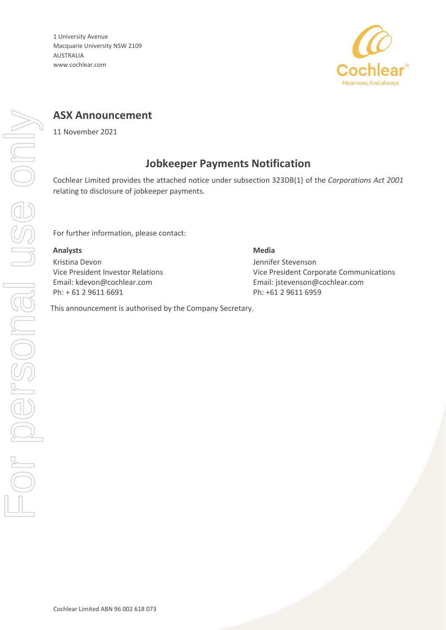1 University Avenue Macquarie University NSW 2109 AUSTRALIA www.cochlear.com



## **ASX Announcement**

11 November 2021

### **Jobkeeper Payments Notification**

Cochlear Limited provides the attached notice under subsection 323DB(1) of the *Corporations Act 2001* relating to disclosure of jobkeeper payments.

For further information, please contact:

#### **Analysts Media**

Kristina Devon Vice President Investor Relations Email: kdevon@cochlear.com Ph: + 61 2 9611 6691

## Jennifer Stevenson Vice President Corporate Communications Email: jstevenson@cochlear.com Ph: +61 2 9611 6959

This announcement is authorised by the Company Secretary.